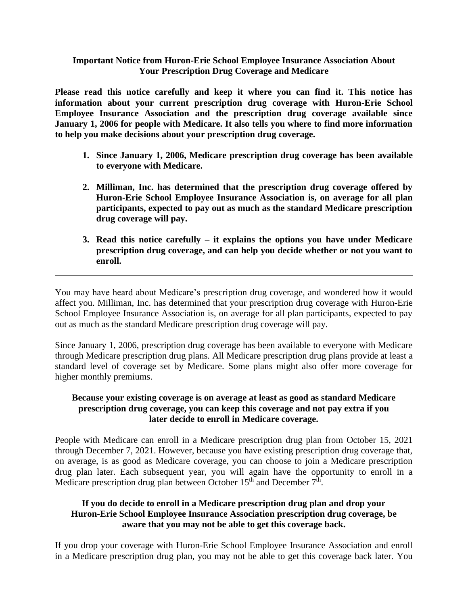### **Important Notice from Huron-Erie School Employee Insurance Association About Your Prescription Drug Coverage and Medicare**

**Please read this notice carefully and keep it where you can find it. This notice has information about your current prescription drug coverage with Huron-Erie School Employee Insurance Association and the prescription drug coverage available since January 1, 2006 for people with Medicare. It also tells you where to find more information to help you make decisions about your prescription drug coverage.**

- **1. Since January 1, 2006, Medicare prescription drug coverage has been available to everyone with Medicare.**
- **2. Milliman, Inc. has determined that the prescription drug coverage offered by Huron-Erie School Employee Insurance Association is, on average for all plan participants, expected to pay out as much as the standard Medicare prescription drug coverage will pay.**
- **3. Read this notice carefully – it explains the options you have under Medicare prescription drug coverage, and can help you decide whether or not you want to enroll.**

You may have heard about Medicare's prescription drug coverage, and wondered how it would affect you. Milliman, Inc. has determined that your prescription drug coverage with Huron-Erie School Employee Insurance Association is, on average for all plan participants, expected to pay out as much as the standard Medicare prescription drug coverage will pay.

Since January 1, 2006, prescription drug coverage has been available to everyone with Medicare through Medicare prescription drug plans. All Medicare prescription drug plans provide at least a standard level of coverage set by Medicare. Some plans might also offer more coverage for higher monthly premiums.

# **Because your existing coverage is on average at least as good as standard Medicare prescription drug coverage, you can keep this coverage and not pay extra if you later decide to enroll in Medicare coverage.**

People with Medicare can enroll in a Medicare prescription drug plan from October 15, 2021 through December 7, 2021. However, because you have existing prescription drug coverage that, on average, is as good as Medicare coverage, you can choose to join a Medicare prescription drug plan later. Each subsequent year, you will again have the opportunity to enroll in a Medicare prescription drug plan between October 15<sup>th</sup> and December 7<sup>th</sup>.

# **If you do decide to enroll in a Medicare prescription drug plan and drop your Huron-Erie School Employee Insurance Association prescription drug coverage, be aware that you may not be able to get this coverage back.**

If you drop your coverage with Huron-Erie School Employee Insurance Association and enroll in a Medicare prescription drug plan, you may not be able to get this coverage back later. You